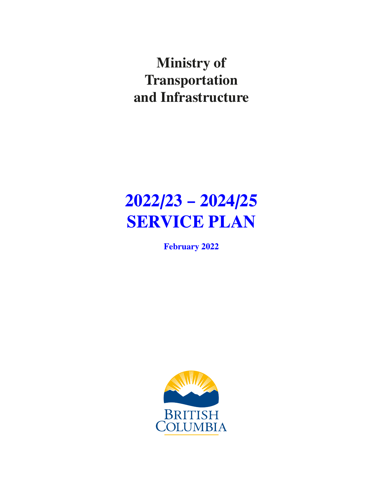**Ministry of Transportation and Infrastructure**

# **2022/23 – 2024/25 SERVICE PLAN**

**February 2022**

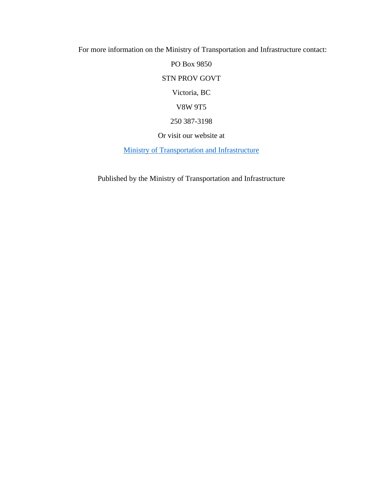For more information on the Ministry of Transportation and Infrastructure contact:

PO Box 9850 STN PROV GOVT Victoria, BC V8W 9T5 250 387-3198 Or visit our website at

[Ministry of Transportation and Infrastructure](https://www2.gov.bc.ca/gov/content/governments/organizational-structure/ministries-organizations/ministries/transportation-and-infrastructure)

Published by the Ministry of Transportation and Infrastructure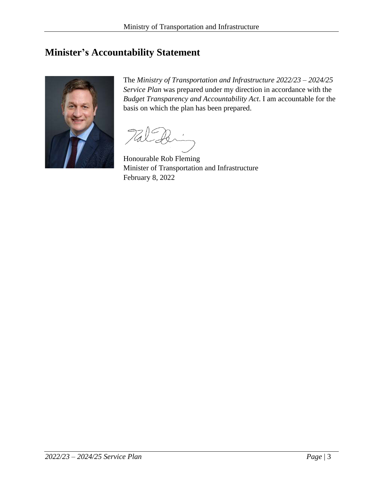# <span id="page-2-0"></span>**Minister's Accountability Statement**



The *Ministry of Transportation and Infrastructure 2022/23 – 2024/25 Service Plan* was prepared under my direction in accordance with the *Budget Transparency and Accountability Act*. I am accountable for the basis on which the plan has been prepared.

Honourable Rob Fleming Minister of Transportation and Infrastructure February 8, 2022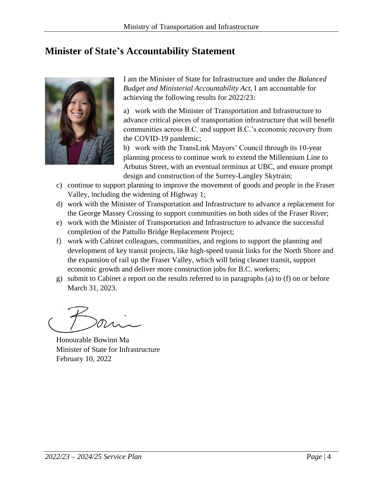# <span id="page-3-0"></span>**Minister of State's Accountability Statement**



I am the Minister of State for Infrastructure and under the *Balanced Budget and Ministerial Accountability Act*, I am accountable for achieving the following results for 2022/23:

a) work with the Minister of Transportation and Infrastructure to advance critical pieces of transportation infrastructure that will benefit communities across B.C. and support B.C.'s economic recovery from the COVID-19 pandemic;

b) work with the TransLink Mayors' Council through its 10-year planning process to continue work to extend the Millennium Line to Arbutus Street, with an eventual terminus at UBC, and ensure prompt design and construction of the Surrey-Langley Skytrain;

- c) continue to support planning to improve the movement of goods and people in the Fraser Valley, including the widening of Highway 1;
- d) work with the Minister of Transportation and Infrastructure to advance a replacement for the George Massey Crossing to support communities on both sides of the Fraser River;
- e) work with the Minister of Transportation and Infrastructure to advance the successful completion of the Pattullo Bridge Replacement Project;
- f) work with Cabinet colleagues, communities, and regions to support the planning and development of key transit projects, like high-speed transit links for the North Shore and the expansion of rail up the Fraser Valley, which will bring cleaner transit, support economic growth and deliver more construction jobs for B.C. workers;
- g) submit to Cabinet a report on the results referred to in paragraphs (a) to (f) on or before March 31, 2023.

Honourable Bowinn Ma Minister of State for Infrastructure February 10, 2022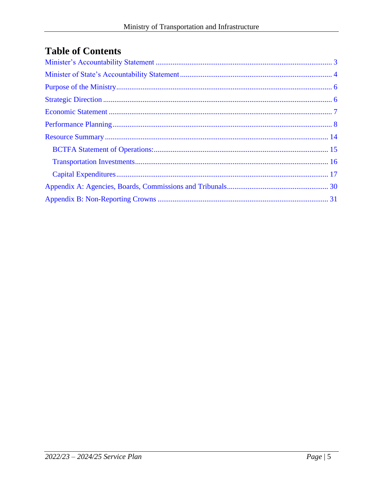# **Table of Contents**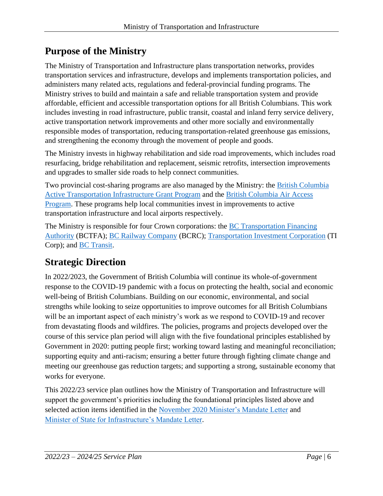# <span id="page-5-0"></span>**Purpose of the Ministry**

The Ministry of Transportation and Infrastructure plans transportation networks, provides transportation services and infrastructure, develops and implements transportation policies, and administers many related acts, regulations and federal-provincial funding programs. The Ministry strives to build and maintain a safe and reliable transportation system and provide affordable, efficient and accessible transportation options for all British Columbians. This work includes investing in road infrastructure, public transit, coastal and inland ferry service delivery, active transportation network improvements and other more socially and environmentally responsible modes of transportation, reducing transportation-related greenhouse gas emissions, and strengthening the economy through the movement of people and goods.

The Ministry invests in highway rehabilitation and side road improvements, which includes road resurfacing, bridge rehabilitation and replacement, seismic retrofits, intersection improvements and upgrades to smaller side roads to help connect communities.

Two provincial cost-sharing programs are also managed by the Ministry: the [British Columbia](https://www2.gov.bc.ca/gov/content/transportation/funding-engagement-permits/funding-grants/active-transportation-infrastructure-grants)  [Active Transportation Infrastructure Grant Program](https://www2.gov.bc.ca/gov/content/transportation/funding-engagement-permits/funding-grants/active-transportation-infrastructure-grants) and the [British Columbia Air Access](https://www2.gov.bc.ca/gov/content/transportation/funding-engagement-permits/funding-grants/aviation-infrastructure-funding)  [Program.](https://www2.gov.bc.ca/gov/content/transportation/funding-engagement-permits/funding-grants/aviation-infrastructure-funding) These programs help local communities invest in improvements to active transportation infrastructure and local airports respectively.

The Ministry is responsible for four Crown corporations: the [BC Transportation Financing](https://www2.gov.bc.ca/gov/content/transportation/transportation-reports-and-reference/ministry-reporting/bctfa)  [Authority](https://www2.gov.bc.ca/gov/content/transportation/transportation-reports-and-reference/ministry-reporting/bctfa) (BCTFA); [BC Railway Company](https://www2.gov.bc.ca/gov/content/transportation/transportation-reports-and-reference/ministry-reporting/bctfa/british-columbia-railway-company) (BCRC); [Transportation Investment Corporation](https://www.ticorp.ca/) (TI Corp); and [BC Transit.](https://www.bctransit.com/choose-transit-system)

# <span id="page-5-1"></span>**Strategic Direction**

In 2022/2023, the Government of British Columbia will continue its whole-of-government response to the COVID-19 pandemic with a focus on protecting the health, social and economic well-being of British Columbians. Building on our economic, environmental, and social strengths while looking to seize opportunities to improve outcomes for all British Columbians will be an important aspect of each ministry's work as we respond to COVID-19 and recover from devastating floods and wildfires. The policies, programs and projects developed over the course of this service plan period will align with the five foundational principles established by Government in 2020: putting people first; working toward lasting and meaningful reconciliation; supporting equity and anti-racism; ensuring a better future through fighting climate change and meeting our greenhouse gas reduction targets; and supporting a strong, sustainable economy that works for everyone.

This 2022/23 service plan outlines how the Ministry of Transportation and Infrastructure will support the government's priorities including the foundational principles listed above and selected action items identified in the November 2020 [Minister's Mandate Letter](https://www2.gov.bc.ca/assets/gov/government/ministries-organizations/premier-cabinet-mlas/minister-letter/fleming_mandate_2020.pdf) and [Minister of State for Infrastructure's Mandate Letter.](https://news.gov.bc.ca/files/TRAN-Ma-mandate.pdf)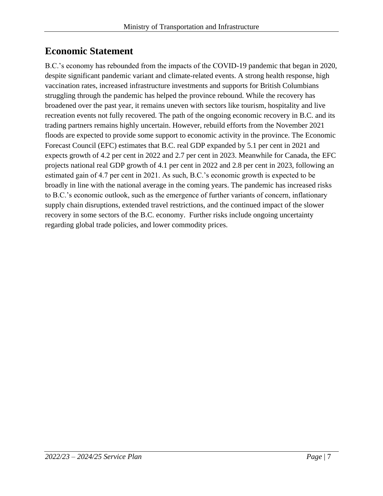# <span id="page-6-0"></span>**Economic Statement**

B.C.'s economy has rebounded from the impacts of the COVID-19 pandemic that began in 2020, despite significant pandemic variant and climate-related events. A strong health response, high vaccination rates, increased infrastructure investments and supports for British Columbians struggling through the pandemic has helped the province rebound. While the recovery has broadened over the past year, it remains uneven with sectors like tourism, hospitality and live recreation events not fully recovered. The path of the ongoing economic recovery in B.C. and its trading partners remains highly uncertain. However, rebuild efforts from the November 2021 floods are expected to provide some support to economic activity in the province. The Economic Forecast Council (EFC) estimates that B.C. real GDP expanded by 5.1 per cent in 2021 and expects growth of 4.2 per cent in 2022 and 2.7 per cent in 2023. Meanwhile for Canada, the EFC projects national real GDP growth of 4.1 per cent in 2022 and 2.8 per cent in 2023, following an estimated gain of 4.7 per cent in 2021. As such, B.C.'s economic growth is expected to be broadly in line with the national average in the coming years. The pandemic has increased risks to B.C.'s economic outlook, such as the emergence of further variants of concern, inflationary supply chain disruptions, extended travel restrictions, and the continued impact of the slower recovery in some sectors of the B.C. economy. Further risks include ongoing uncertainty regarding global trade policies, and lower commodity prices.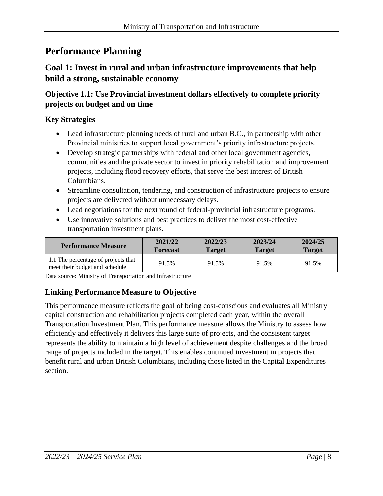# <span id="page-7-0"></span>**Performance Planning**

# **Goal 1: Invest in rural and urban infrastructure improvements that help build a strong, sustainable economy**

# **Objective 1.1: Use Provincial investment dollars effectively to complete priority projects on budget and on time**

# **Key Strategies**

- Lead infrastructure planning needs of rural and urban B.C., in partnership with other Provincial ministries to support local government's priority infrastructure projects.
- Develop strategic partnerships with federal and other local government agencies, communities and the private sector to invest in priority rehabilitation and improvement projects, including flood recovery efforts, that serve the best interest of British Columbians.
- Streamline consultation, tendering, and construction of infrastructure projects to ensure projects are delivered without unnecessary delays.
- Lead negotiations for the next round of federal-provincial infrastructure programs.
- Use innovative solutions and best practices to deliver the most cost-effective transportation investment plans.

| <b>Performance Measure</b>                                            | 2021/22         | 2022/23       | 2023/24       | 2024/25       |
|-----------------------------------------------------------------------|-----------------|---------------|---------------|---------------|
|                                                                       | <b>Forecast</b> | <b>Target</b> | <b>Target</b> | <b>Target</b> |
| 1.1 The percentage of projects that<br>meet their budget and schedule | 91.5%           | 91.5%         | 91.5%         | 91.5%         |

Data source: Ministry of Transportation and Infrastructure

# **Linking Performance Measure to Objective**

This performance measure reflects the goal of being cost-conscious and evaluates all Ministry capital construction and rehabilitation projects completed each year, within the overall Transportation Investment Plan. This performance measure allows the Ministry to assess how efficiently and effectively it delivers this large suite of projects, and the consistent target represents the ability to maintain a high level of achievement despite challenges and the broad range of projects included in the target. This enables continued investment in projects that benefit rural and urban British Columbians, including those listed in the Capital Expenditures section.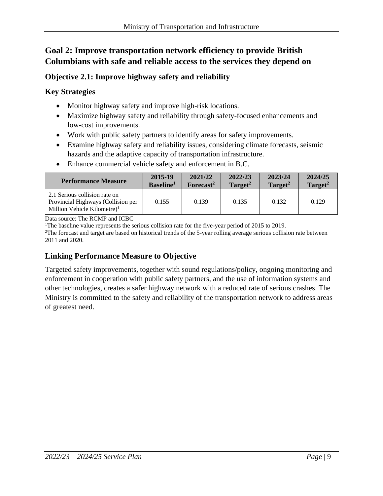# **Goal 2: Improve transportation network efficiency to provide British Columbians with safe and reliable access to the services they depend on**

# **Objective 2.1: Improve highway safety and reliability**

# **Key Strategies**

- Monitor highway safety and improve high-risk locations.
- Maximize highway safety and reliability through safety-focused enhancements and low-cost improvements.
- Work with public safety partners to identify areas for safety improvements.
- Examine highway safety and reliability issues, considering climate forecasts, seismic hazards and the adaptive capacity of transportation infrastructure.
- Enhance commercial vehicle safety and enforcement in B.C.

| <b>Performance Measure</b>                                                                                     | 2015-19               | 2021/22               | 2022/23             | 2023/24             | 2024/25             |
|----------------------------------------------------------------------------------------------------------------|-----------------------|-----------------------|---------------------|---------------------|---------------------|
|                                                                                                                | Baseline <sup>1</sup> | Forecast <sup>2</sup> | Target <sup>2</sup> | Target <sup>2</sup> | Target <sup>2</sup> |
| 2.1 Serious collision rate on<br>Provincial Highways (Collision per<br>Million Vehicle Kilometre) <sup>1</sup> | 0.155                 | 0.139                 | 0.135               | 0.132               | 0.129               |

Data source: The RCMP and ICBC

<sup>1</sup>The baseline value represents the serious collision rate for the five-year period of 2015 to 2019.

<sup>2</sup>The forecast and target are based on historical trends of the 5-year rolling average serious collision rate between 2011 and 2020.

# **Linking Performance Measure to Objective**

Targeted safety improvements, together with sound regulations/policy, ongoing monitoring and enforcement in cooperation with public safety partners, and the use of information systems and other technologies, creates a safer highway network with a reduced rate of serious crashes. The Ministry is committed to the safety and reliability of the transportation network to address areas of greatest need.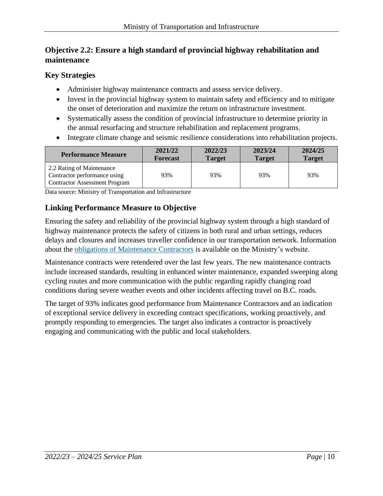# **Objective 2.2: Ensure a high standard of provincial highway rehabilitation and maintenance**

# **Key Strategies**

- Administer highway maintenance contracts and assess service delivery.
- Invest in the provincial highway system to maintain safety and efficiency and to mitigate the onset of deterioration and maximize the return on infrastructure investment.
- Systematically assess the condition of provincial infrastructure to determine priority in the annual resurfacing and structure rehabilitation and replacement programs.
- Integrate climate change and seismic resilience considerations into rehabilitation projects.

| <b>Performance Measure</b>                                                                        | 2021/22         | 2022/23       | 2023/24       | 2024/25       |
|---------------------------------------------------------------------------------------------------|-----------------|---------------|---------------|---------------|
|                                                                                                   | <b>Forecast</b> | <b>Target</b> | <b>Target</b> | <b>Target</b> |
| 2.2 Rating of Maintenance<br>Contractor performance using<br><b>Contractor Assessment Program</b> | 93%             | 93%           | 93%           | 93%           |

Data source: Ministry of Transportation and Infrastructure

# **Linking Performance Measure to Objective**

Ensuring the safety and reliability of the provincial highway system through a high standard of highway maintenance protects the safety of citizens in both rural and urban settings, reduces delays and closures and increases traveller confidence in our transportation network. Information about the [obligations of Maintenance Contractors](https://www2.gov.bc.ca/gov/content/transportation/transportation-infrastructure/contracting-to-transportation/highway-bridge-maintenance/highway-maintenance/agreement/specifications) is available on the Ministry's website.

Maintenance contracts were retendered over the last few years. The new maintenance contracts include increased standards, resulting in enhanced winter maintenance, expanded sweeping along cycling routes and more communication with the public regarding rapidly changing road conditions during severe weather events and other incidents affecting travel on B.C. roads.

The target of 93% indicates good performance from Maintenance Contractors and an indication of exceptional service delivery in exceeding contract specifications, working proactively, and promptly responding to emergencies. The target also indicates a contractor is proactively engaging and communicating with the public and local stakeholders.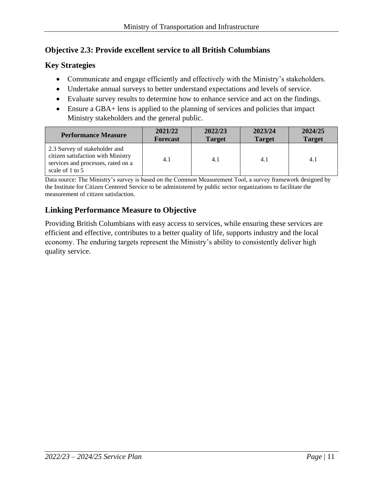# **Objective 2.3: Provide excellent service to all British Columbians**

# **Key Strategies**

- Communicate and engage efficiently and effectively with the Ministry's stakeholders.
- Undertake annual surveys to better understand expectations and levels of service.
- Evaluate survey results to determine how to enhance service and act on the findings.
- Ensure a GBA+ lens is applied to the planning of services and policies that impact Ministry stakeholders and the general public.

| <b>Performance Measure</b>                                                                                                   | 2021/22         | 2022/23       | 2023/24       | 2024/25       |
|------------------------------------------------------------------------------------------------------------------------------|-----------------|---------------|---------------|---------------|
|                                                                                                                              | <b>Forecast</b> | <b>Target</b> | <b>Target</b> | <b>Target</b> |
| 2.3 Survey of stakeholder and<br>citizen satisfaction with Ministry<br>services and processes, rated on a<br>scale of 1 to 5 | 4.1             | 4.1           | 4.1           | 4.1           |

Data source: The Ministry's survey is based on the Common Measurement Tool, a survey framework designed by the Institute for Citizen Centered Service to be administered by public sector organizations to facilitate the measurement of citizen satisfaction.

# **Linking Performance Measure to Objective**

Providing British Columbians with easy access to services, while ensuring these services are efficient and effective, contributes to a better quality of life, supports industry and the local economy. The enduring targets represent the Ministry's ability to consistently deliver high quality service.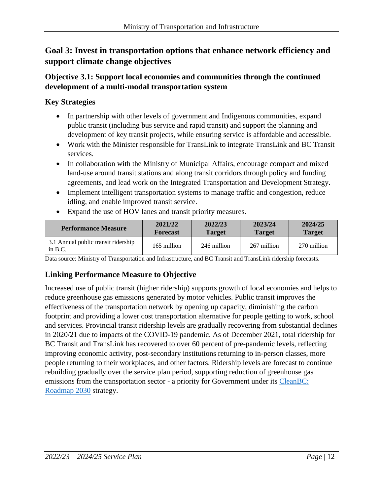# **Goal 3: Invest in transportation options that enhance network efficiency and support climate change objectives**

# **Objective 3.1: Support local economies and communities through the continued development of a multi-modal transportation system**

# **Key Strategies**

- In partnership with other levels of government and Indigenous communities, expand public transit (including bus service and rapid transit) and support the planning and development of key transit projects, while ensuring service is affordable and accessible.
- Work with the Minister responsible for TransLink to integrate TransLink and BC Transit services.
- In collaboration with the Ministry of Municipal Affairs, encourage compact and mixed land-use around transit stations and along transit corridors through policy and funding agreements, and lead work on the Integrated Transportation and Development Strategy.
- Implement intelligent transportation systems to manage traffic and congestion, reduce idling, and enable improved transit service.
- Expand the use of HOV lanes and transit priority measures.

| <b>Performance Measure</b>                       | 2021/22         | 2022/23       | 2023/24       | 2024/25       |
|--------------------------------------------------|-----------------|---------------|---------------|---------------|
|                                                  | <b>Forecast</b> | <b>Target</b> | <b>Target</b> | <b>Target</b> |
| 3.1 Annual public transit ridership<br>in $B.C.$ | 165 million     | 246 million   | 267 million   | 270 million   |

Data source: Ministry of Transportation and Infrastructure, and BC Transit and TransLink ridership forecasts.

# **Linking Performance Measure to Objective**

Increased use of public transit (higher ridership) supports growth of local economies and helps to reduce greenhouse gas emissions generated by motor vehicles. Public transit improves the effectiveness of the transportation network by opening up capacity, diminishing the carbon footprint and providing a lower cost transportation alternative for people getting to work, school and services. Provincial transit ridership levels are gradually recovering from substantial declines in 2020/21 due to impacts of the COVID-19 pandemic. As of December 2021, total ridership for BC Transit and TransLink has recovered to over 60 percent of pre-pandemic levels, reflecting improving economic activity, post-secondary institutions returning to in-person classes, more people returning to their workplaces, and other factors. Ridership levels are forecast to continue rebuilding gradually over the service plan period, supporting reduction of greenhouse gas emissions from the transportation sector - a priority for Government under its [CleanBC:](https://cleanbc.gov.bc.ca/)  [Roadmap 2030](https://cleanbc.gov.bc.ca/) strategy.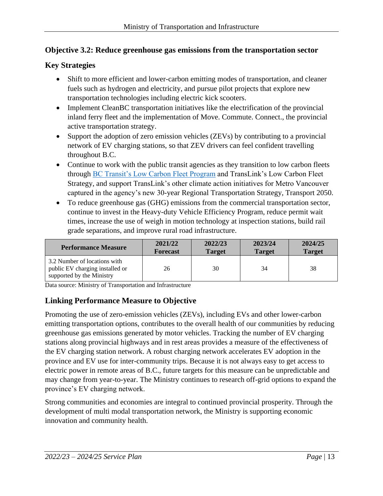# **Objective 3.2: Reduce greenhouse gas emissions from the transportation sector**

# **Key Strategies**

- Shift to more efficient and lower-carbon emitting modes of transportation, and cleaner fuels such as hydrogen and electricity, and pursue pilot projects that explore new transportation technologies including electric kick scooters.
- Implement CleanBC transportation initiatives like the electrification of the provincial inland ferry fleet and the implementation of Move. Commute. Connect., the provincial active transportation strategy.
- Support the adoption of zero emission vehicles (ZEVs) by contributing to a provincial network of EV charging stations, so that ZEV drivers can feel confident travelling throughout B.C.
- Continue to work with the public transit agencies as they transition to low carbon fleets through [BC Transit's Low Carbon Fleet Program](https://www.bctransit.com/victoria/news?nid=1529705248190) and TransLink's Low Carbon Fleet Strategy, and support TransLink's other climate action initiatives for Metro Vancouver captured in the agency's new 30-year Regional Transportation Strategy, Transport 2050.
- To reduce greenhouse gas (GHG) emissions from the commercial transportation sector, continue to invest in the Heavy-duty Vehicle Efficiency Program, reduce permit wait times, increase the use of weigh in motion technology at inspection stations, build rail grade separations, and improve rural road infrastructure.

| <b>Performance Measure</b>                                                                   | 2021/22         | 2022/23       | 2023/24       | 2024/25       |
|----------------------------------------------------------------------------------------------|-----------------|---------------|---------------|---------------|
|                                                                                              | <b>Forecast</b> | <b>Target</b> | <b>Target</b> | <b>Target</b> |
| 3.2 Number of locations with<br>public EV charging installed or<br>supported by the Ministry | 26              | 30            | 34            | 38            |

Data source: Ministry of Transportation and Infrastructure

# **Linking Performance Measure to Objective**

Promoting the use of zero-emission vehicles (ZEVs), including EVs and other lower-carbon emitting transportation options, contributes to the overall health of our communities by reducing greenhouse gas emissions generated by motor vehicles. Tracking the number of EV charging stations along provincial highways and in rest areas provides a measure of the effectiveness of the EV charging station network. A robust charging network accelerates EV adoption in the province and EV use for inter-community trips. Because it is not always easy to get access to electric power in remote areas of B.C., future targets for this measure can be unpredictable and may change from year-to-year. The Ministry continues to research off-grid options to expand the province's EV charging network.

Strong communities and economies are integral to continued provincial prosperity. Through the development of multi modal transportation network, the Ministry is supporting economic innovation and community health.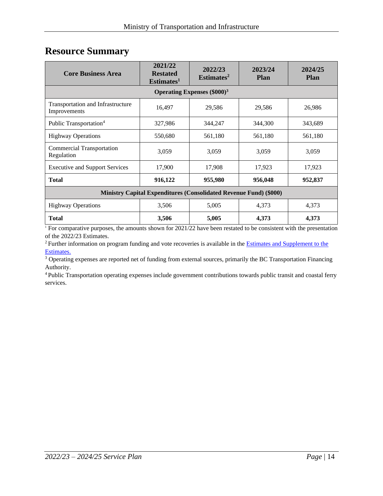# <span id="page-13-0"></span>**Resource Summary**

| <b>Core Business Area</b>                                                | 2021/22<br><b>Restated</b><br>Estimates <sup>1</sup> | 2022/23<br>Estimates <sup>2</sup> | 2023/24<br><b>Plan</b> | 2024/25<br>Plan |  |  |  |  |
|--------------------------------------------------------------------------|------------------------------------------------------|-----------------------------------|------------------------|-----------------|--|--|--|--|
| Operating Expenses $(\$000)^3$                                           |                                                      |                                   |                        |                 |  |  |  |  |
| Transportation and Infrastructure<br>Improvements                        | 16,497                                               | 29,586                            | 29,586                 | 26,986          |  |  |  |  |
| Public Transportation <sup>4</sup>                                       | 327,986                                              | 344,247                           | 344,300                | 343,689         |  |  |  |  |
| <b>Highway Operations</b>                                                | 550,680                                              | 561,180                           | 561,180                | 561,180         |  |  |  |  |
| Commercial Transportation<br>Regulation                                  | 3,059                                                | 3,059                             | 3,059                  | 3,059           |  |  |  |  |
| <b>Executive and Support Services</b>                                    | 17,900                                               | 17,908                            | 17,923                 | 17,923          |  |  |  |  |
| <b>Total</b>                                                             | 916,122                                              | 955,980                           | 956,048                | 952,837         |  |  |  |  |
| <b>Ministry Capital Expenditures (Consolidated Revenue Fund) (\$000)</b> |                                                      |                                   |                        |                 |  |  |  |  |
| <b>Highway Operations</b>                                                | 3,506                                                | 5,005                             | 4,373                  | 4,373           |  |  |  |  |
| <b>Total</b>                                                             | 3,506                                                | 5,005                             | 4,373                  | 4,373           |  |  |  |  |

<sup>1</sup> For comparative purposes, the amounts shown for 2021/22 have been restated to be consistent with the presentation of the 2022/23 Estimates.

<sup>2</sup> Further information on program funding and vote recoveries is available in the **Estimates and Supplement to the** [Estimates.](http://www.bcbudget.gov.bc.ca/2013_June_Update/default.htm)

<sup>3</sup> Operating expenses are reported net of funding from external sources, primarily the BC Transportation Financing Authority.

<sup>4</sup>Public Transportation operating expenses include government contributions towards public transit and coastal ferry services.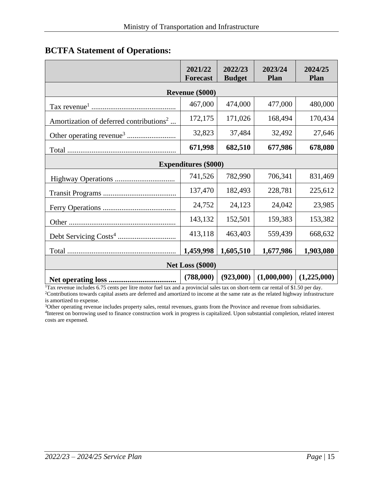|                                                     | 2021/22<br><b>Forecast</b>  | 2022/23<br><b>Budget</b> | 2023/24<br>Plan | 2024/25<br>Plan |  |  |  |  |
|-----------------------------------------------------|-----------------------------|--------------------------|-----------------|-----------------|--|--|--|--|
|                                                     | Revenue (\$000)             |                          |                 |                 |  |  |  |  |
|                                                     | 467,000                     | 474,000                  | 477,000         | 480,000         |  |  |  |  |
| Amortization of deferred contributions <sup>2</sup> | 172,175                     | 171,026                  | 168,494         | 170,434         |  |  |  |  |
|                                                     | 32,823                      | 37,484                   | 32,492          | 27,646          |  |  |  |  |
|                                                     | 671,998                     | 682,510                  | 677,986         | 678,080         |  |  |  |  |
|                                                     | <b>Expenditures</b> (\$000) |                          |                 |                 |  |  |  |  |
|                                                     | 741,526                     | 782,990                  | 706,341         | 831,469         |  |  |  |  |
|                                                     | 137,470                     | 182,493                  | 228,781         | 225,612         |  |  |  |  |
|                                                     | 24,752                      | 24,123                   | 24,042          | 23,985          |  |  |  |  |
|                                                     | 143,132                     | 152,501                  | 159,383         | 153,382         |  |  |  |  |
|                                                     | 413,118                     | 463,403                  | 559,439         | 668,632         |  |  |  |  |
|                                                     | 1,459,998                   | 1,605,510                | 1,677,986       | 1,903,080       |  |  |  |  |
| <b>Net Loss (\$000)</b>                             |                             |                          |                 |                 |  |  |  |  |
|                                                     | (788,000)                   | (923,000)                | (1,000,000)     | (1,225,000)     |  |  |  |  |

# <span id="page-14-0"></span>**BCTFA Statement of Operations:**

<sup>1</sup>Tax revenue includes 6.75 cents per litre motor fuel tax and a provincial sales tax on short-term car rental of \$1.50 per day. <sup>2</sup>Contributions towards capital assets are deferred and amortized to income at the same rate as the related highway infrastructure is amortized to expense.

<sup>3</sup>Other operating revenue includes property sales, rental revenues, grants from the Province and revenue from subsidiaries. 4 Interest on borrowing used to finance construction work in progress is capitalized. Upon substantial completion, related interest costs are expensed.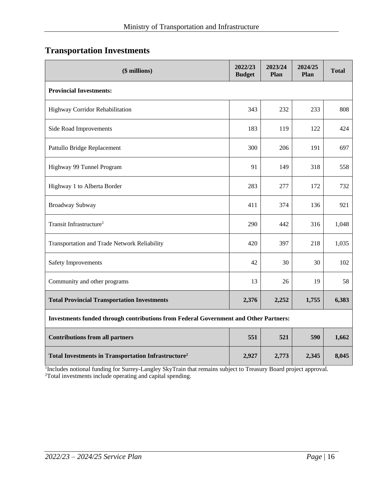# <span id="page-15-0"></span>**Transportation Investments**

| (\$ millions)                                                                               | 2022/23<br><b>Budget</b> | 2023/24<br>Plan | 2024/25<br>Plan | <b>Total</b> |  |  |  |  |
|---------------------------------------------------------------------------------------------|--------------------------|-----------------|-----------------|--------------|--|--|--|--|
| <b>Provincial Investments:</b>                                                              |                          |                 |                 |              |  |  |  |  |
| Highway Corridor Rehabilitation                                                             | 343                      | 232             | 233             | 808          |  |  |  |  |
| Side Road Improvements                                                                      | 183                      | 119             | 122             | 424          |  |  |  |  |
| Pattullo Bridge Replacement                                                                 | 300                      | 206             | 191             | 697          |  |  |  |  |
| Highway 99 Tunnel Program                                                                   | 91                       | 149             | 318             | 558          |  |  |  |  |
| Highway 1 to Alberta Border                                                                 | 283                      | 277             | 172             | 732          |  |  |  |  |
| Broadway Subway                                                                             | 411                      | 374             | 136             | 921          |  |  |  |  |
| Transit Infrastructure <sup>1</sup>                                                         | 290                      | 442             | 316             | 1,048        |  |  |  |  |
| Transportation and Trade Network Reliability                                                | 420                      | 397             | 218             | 1,035        |  |  |  |  |
| <b>Safety Improvements</b>                                                                  | 42                       | 30              | 30              | 102          |  |  |  |  |
| Community and other programs                                                                | 13                       | 26              | 19              | 58           |  |  |  |  |
| <b>Total Provincial Transportation Investments</b>                                          | 2,376                    | 2,252           | 1,755           | 6,383        |  |  |  |  |
| <b>Investments funded through contributions from Federal Government and Other Partners:</b> |                          |                 |                 |              |  |  |  |  |
| <b>Contributions from all partners</b>                                                      | 551                      | 521             | 590             | 1,662        |  |  |  |  |
| <b>Total Investments in Transportation Infrastructure<sup>2</sup></b>                       | 2,927                    | 2,773           | 2,345           | 8,045        |  |  |  |  |

<sup>1</sup>Includes notional funding for Surrey-Langley SkyTrain that remains subject to Treasury Board project approval. <sup>2</sup>Total investments include operating and capital spending.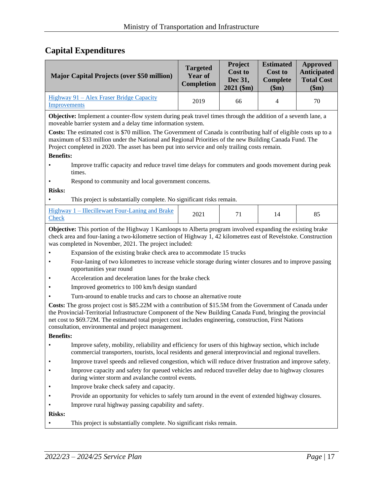# <span id="page-16-0"></span>**Capital Expenditures**

|                                                                                                                                                                                                                                                                                                                                                                                                 | <b>Major Capital Projects (over \$50 million)</b>                                                                                                                                                                                                                                              | <b>Targeted</b><br><b>Year of</b><br>Completion | Project<br><b>Cost to</b><br>Dec 31,<br>$2021$ (\$m) | <b>Estimated</b><br><b>Cost to</b><br><b>Complete</b><br>\$m\$ | <b>Approved</b><br><b>Anticipated</b><br><b>Total Cost</b><br>\$m\$ |  |
|-------------------------------------------------------------------------------------------------------------------------------------------------------------------------------------------------------------------------------------------------------------------------------------------------------------------------------------------------------------------------------------------------|------------------------------------------------------------------------------------------------------------------------------------------------------------------------------------------------------------------------------------------------------------------------------------------------|-------------------------------------------------|------------------------------------------------------|----------------------------------------------------------------|---------------------------------------------------------------------|--|
| Improvements                                                                                                                                                                                                                                                                                                                                                                                    | Highway 91 - Alex Fraser Bridge Capacity                                                                                                                                                                                                                                                       | 2019                                            | 66                                                   | 4                                                              | 70                                                                  |  |
| <b>Objective:</b> Implement a counter-flow system during peak travel times through the addition of a seventh lane, a<br>moveable barrier system and a delay time information system.                                                                                                                                                                                                            |                                                                                                                                                                                                                                                                                                |                                                 |                                                      |                                                                |                                                                     |  |
| Costs: The estimated cost is \$70 million. The Government of Canada is contributing half of eligible costs up to a<br>maximum of \$33 million under the National and Regional Priorities of the new Building Canada Fund. The<br>Project completed in 2020. The asset has been put into service and only trailing costs remain.                                                                 |                                                                                                                                                                                                                                                                                                |                                                 |                                                      |                                                                |                                                                     |  |
| <b>Benefits:</b>                                                                                                                                                                                                                                                                                                                                                                                |                                                                                                                                                                                                                                                                                                |                                                 |                                                      |                                                                |                                                                     |  |
|                                                                                                                                                                                                                                                                                                                                                                                                 | Improve traffic capacity and reduce travel time delays for commuters and goods movement during peak<br>times.                                                                                                                                                                                  |                                                 |                                                      |                                                                |                                                                     |  |
|                                                                                                                                                                                                                                                                                                                                                                                                 | Respond to community and local government concerns.                                                                                                                                                                                                                                            |                                                 |                                                      |                                                                |                                                                     |  |
| <b>Risks:</b>                                                                                                                                                                                                                                                                                                                                                                                   |                                                                                                                                                                                                                                                                                                |                                                 |                                                      |                                                                |                                                                     |  |
|                                                                                                                                                                                                                                                                                                                                                                                                 | This project is substantially complete. No significant risks remain.                                                                                                                                                                                                                           |                                                 |                                                      |                                                                |                                                                     |  |
| <b>Check</b>                                                                                                                                                                                                                                                                                                                                                                                    | Highway 1 – Illecillewaet Four-Laning and Brake                                                                                                                                                                                                                                                | 2021                                            | 71                                                   | 14                                                             | 85                                                                  |  |
|                                                                                                                                                                                                                                                                                                                                                                                                 | <b>Objective:</b> This portion of the Highway 1 Kamloops to Alberta program involved expanding the existing brake<br>check area and four-laning a two-kilometre section of Highway 1, 42 kilometres east of Revelstoke. Construction<br>was completed in November, 2021. The project included: |                                                 |                                                      |                                                                |                                                                     |  |
|                                                                                                                                                                                                                                                                                                                                                                                                 | Expansion of the existing brake check area to accommodate 15 trucks                                                                                                                                                                                                                            |                                                 |                                                      |                                                                |                                                                     |  |
|                                                                                                                                                                                                                                                                                                                                                                                                 | Four-laning of two kilometres to increase vehicle storage during winter closures and to improve passing<br>opportunities year round                                                                                                                                                            |                                                 |                                                      |                                                                |                                                                     |  |
|                                                                                                                                                                                                                                                                                                                                                                                                 | Acceleration and deceleration lanes for the brake check                                                                                                                                                                                                                                        |                                                 |                                                      |                                                                |                                                                     |  |
|                                                                                                                                                                                                                                                                                                                                                                                                 | Improved geometrics to 100 km/h design standard                                                                                                                                                                                                                                                |                                                 |                                                      |                                                                |                                                                     |  |
|                                                                                                                                                                                                                                                                                                                                                                                                 | Turn-around to enable trucks and cars to choose an alternative route                                                                                                                                                                                                                           |                                                 |                                                      |                                                                |                                                                     |  |
| Costs: The gross project cost is \$85.22M with a contribution of \$15.5M from the Government of Canada under<br>the Provincial-Territorial Infrastructure Component of the New Building Canada Fund, bringing the provincial<br>net cost to \$69.72M. The estimated total project cost includes engineering, construction, First Nations<br>consultation, environmental and project management. |                                                                                                                                                                                                                                                                                                |                                                 |                                                      |                                                                |                                                                     |  |
| <b>Benefits:</b>                                                                                                                                                                                                                                                                                                                                                                                |                                                                                                                                                                                                                                                                                                |                                                 |                                                      |                                                                |                                                                     |  |
|                                                                                                                                                                                                                                                                                                                                                                                                 | Improve safety, mobility, reliability and efficiency for users of this highway section, which include<br>commercial transporters, tourists, local residents and general interprovincial and regional travellers.                                                                               |                                                 |                                                      |                                                                |                                                                     |  |
|                                                                                                                                                                                                                                                                                                                                                                                                 | Improve travel speeds and relieved congestion, which will reduce driver frustration and improve safety.                                                                                                                                                                                        |                                                 |                                                      |                                                                |                                                                     |  |
|                                                                                                                                                                                                                                                                                                                                                                                                 | Improve capacity and safety for queued vehicles and reduced traveller delay due to highway closures<br>during winter storm and avalanche control events.                                                                                                                                       |                                                 |                                                      |                                                                |                                                                     |  |
|                                                                                                                                                                                                                                                                                                                                                                                                 | Improve brake check safety and capacity.                                                                                                                                                                                                                                                       |                                                 |                                                      |                                                                |                                                                     |  |
|                                                                                                                                                                                                                                                                                                                                                                                                 | Provide an opportunity for vehicles to safely turn around in the event of extended highway closures.                                                                                                                                                                                           |                                                 |                                                      |                                                                |                                                                     |  |
|                                                                                                                                                                                                                                                                                                                                                                                                 | Improve rural highway passing capability and safety.                                                                                                                                                                                                                                           |                                                 |                                                      |                                                                |                                                                     |  |
| <b>Risks:</b>                                                                                                                                                                                                                                                                                                                                                                                   |                                                                                                                                                                                                                                                                                                |                                                 |                                                      |                                                                |                                                                     |  |
|                                                                                                                                                                                                                                                                                                                                                                                                 | This project is substantially complete. No significant risks remain.                                                                                                                                                                                                                           |                                                 |                                                      |                                                                |                                                                     |  |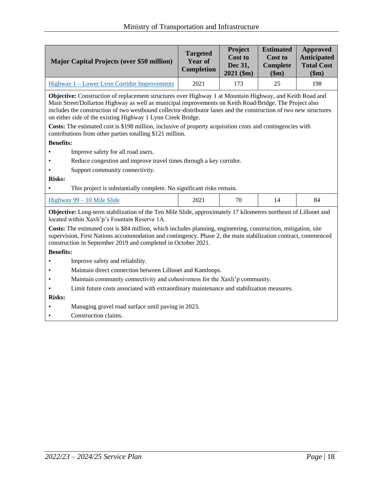|                                                                                                                                                                                                                                                                                                                                                                                                                                                                                                                                                                                          | <b>Major Capital Projects (over \$50 million)</b>                                                                                                                                                                                                                                                 | <b>Targeted</b><br>Year of<br>Completion | Project<br><b>Cost to</b><br>Dec 31,<br>$2021$ (\$m) | <b>Estimated</b><br><b>Cost to</b><br><b>Complete</b><br>\$m\$ | <b>Approved</b><br><b>Anticipated</b><br><b>Total Cost</b><br>\$m\$ |  |  |
|------------------------------------------------------------------------------------------------------------------------------------------------------------------------------------------------------------------------------------------------------------------------------------------------------------------------------------------------------------------------------------------------------------------------------------------------------------------------------------------------------------------------------------------------------------------------------------------|---------------------------------------------------------------------------------------------------------------------------------------------------------------------------------------------------------------------------------------------------------------------------------------------------|------------------------------------------|------------------------------------------------------|----------------------------------------------------------------|---------------------------------------------------------------------|--|--|
| 2021<br>25<br>198<br>Highway 1 - Lower Lynn Corridor Improvements<br>173                                                                                                                                                                                                                                                                                                                                                                                                                                                                                                                 |                                                                                                                                                                                                                                                                                                   |                                          |                                                      |                                                                |                                                                     |  |  |
| Objective: Construction of replacement structures over Highway 1 at Mountain Highway, and Keith Road and<br>Main Street/Dollarton Highway as well as municipal improvements on Keith Road/Bridge. The Project also<br>includes the construction of two westbound collector-distributor lanes and the construction of two new structures<br>on either side of the existing Highway 1 Lynn Creek Bridge.<br><b>Costs:</b> The estimated cost is \$198 million, inclusive of property acquisition costs and contingencies with<br>contributions from other parties totalling \$121 million. |                                                                                                                                                                                                                                                                                                   |                                          |                                                      |                                                                |                                                                     |  |  |
| <b>Benefits:</b>                                                                                                                                                                                                                                                                                                                                                                                                                                                                                                                                                                         |                                                                                                                                                                                                                                                                                                   |                                          |                                                      |                                                                |                                                                     |  |  |
|                                                                                                                                                                                                                                                                                                                                                                                                                                                                                                                                                                                          | Improve safety for all road users.                                                                                                                                                                                                                                                                |                                          |                                                      |                                                                |                                                                     |  |  |
|                                                                                                                                                                                                                                                                                                                                                                                                                                                                                                                                                                                          | Reduce congestion and improve travel times through a key corridor.                                                                                                                                                                                                                                |                                          |                                                      |                                                                |                                                                     |  |  |
|                                                                                                                                                                                                                                                                                                                                                                                                                                                                                                                                                                                          | Support community connectivity.                                                                                                                                                                                                                                                                   |                                          |                                                      |                                                                |                                                                     |  |  |
| <b>Risks:</b>                                                                                                                                                                                                                                                                                                                                                                                                                                                                                                                                                                            |                                                                                                                                                                                                                                                                                                   |                                          |                                                      |                                                                |                                                                     |  |  |
|                                                                                                                                                                                                                                                                                                                                                                                                                                                                                                                                                                                          | This project is substantially complete. No significant risks remain.                                                                                                                                                                                                                              |                                          |                                                      |                                                                |                                                                     |  |  |
|                                                                                                                                                                                                                                                                                                                                                                                                                                                                                                                                                                                          | Highway $99 - 10$ Mile Slide                                                                                                                                                                                                                                                                      | 2021                                     | 70                                                   | 14                                                             | 84                                                                  |  |  |
|                                                                                                                                                                                                                                                                                                                                                                                                                                                                                                                                                                                          | Objective: Long-term stabilization of the Ten Mile Slide, approximately 17 kilometres northeast of Lillooet and<br>located within Xaxli'p's Fountain Reserve 1A.                                                                                                                                  |                                          |                                                      |                                                                |                                                                     |  |  |
|                                                                                                                                                                                                                                                                                                                                                                                                                                                                                                                                                                                          | Costs: The estimated cost is \$84 million, which includes planning, engineering, construction, mitigation, site<br>supervision, First Nations accommodation and contingency. Phase 2, the main stabilization contract, commenced<br>construction in September 2019 and completed in October 2021. |                                          |                                                      |                                                                |                                                                     |  |  |
| <b>Benefits:</b>                                                                                                                                                                                                                                                                                                                                                                                                                                                                                                                                                                         |                                                                                                                                                                                                                                                                                                   |                                          |                                                      |                                                                |                                                                     |  |  |
|                                                                                                                                                                                                                                                                                                                                                                                                                                                                                                                                                                                          | Improve safety and reliability.                                                                                                                                                                                                                                                                   |                                          |                                                      |                                                                |                                                                     |  |  |
|                                                                                                                                                                                                                                                                                                                                                                                                                                                                                                                                                                                          | Maintain direct connection between Lillooet and Kamloops.                                                                                                                                                                                                                                         |                                          |                                                      |                                                                |                                                                     |  |  |
|                                                                                                                                                                                                                                                                                                                                                                                                                                                                                                                                                                                          | Maintain community connectivity and cohesiveness for the Xaxli'p community.                                                                                                                                                                                                                       |                                          |                                                      |                                                                |                                                                     |  |  |
|                                                                                                                                                                                                                                                                                                                                                                                                                                                                                                                                                                                          | Limit future costs associated with extraordinary maintenance and stabilization measures.                                                                                                                                                                                                          |                                          |                                                      |                                                                |                                                                     |  |  |
| <b>Risks:</b>                                                                                                                                                                                                                                                                                                                                                                                                                                                                                                                                                                            |                                                                                                                                                                                                                                                                                                   |                                          |                                                      |                                                                |                                                                     |  |  |
|                                                                                                                                                                                                                                                                                                                                                                                                                                                                                                                                                                                          | Managing gravel road surface until paving in 2023.                                                                                                                                                                                                                                                |                                          |                                                      |                                                                |                                                                     |  |  |
|                                                                                                                                                                                                                                                                                                                                                                                                                                                                                                                                                                                          | Construation                                                                                                                                                                                                                                                                                      |                                          |                                                      |                                                                |                                                                     |  |  |

• Construction claims.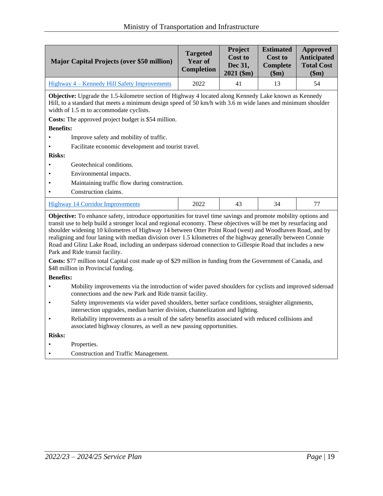| <b>Major Capital Projects (over \$50 million)</b> | <b>Targeted</b><br>Year of<br><b>Completion</b> | Project<br><b>Cost to</b><br>Dec 31.<br>$2021$ (\$m) | <b>Estimated</b><br><b>Cost to</b><br>Complete<br>\$m) | Approved<br><b>Anticipated</b><br><b>Total Cost</b><br>\$m\$ |
|---------------------------------------------------|-------------------------------------------------|------------------------------------------------------|--------------------------------------------------------|--------------------------------------------------------------|
| Highway 4 – Kennedy Hill Safety Improvements      | 2022                                            | 41                                                   | 13                                                     | 54                                                           |

**Objective:** Upgrade the 1.5-kilometre section of Highway 4 located along Kennedy Lake known as Kennedy Hill, to a standard that meets a minimum design speed of 50 km/h with 3.6 m wide lanes and minimum shoulder width of 1.5 m to accommodate cyclists.

**Costs:** The approved project budget is \$54 million.

#### **Benefits:**

- Improve safety and mobility of traffic.
- Facilitate economic development and tourist travel.

#### **Risks:**

- Geotechnical conditions.
- Environmental impacts.
- Maintaining traffic flow during construction.
- Construction claims.

| --<br>пе<br> | 0.002<br>ZUZZ | ⊤ | $\overline{\phantom{a}}$ |
|--------------|---------------|---|--------------------------|
|              |               |   |                          |

**Objective:** To enhance safety, introduce opportunities for travel time savings and promote mobility options and transit use to help build a stronger local and regional economy. These objectives will be met by resurfacing and shoulder widening 10 kilometres of Highway 14 between Otter Point Road (west) and Woodhaven Road, and by realigning and four laning with median division over 1.5 kilometres of the highway generally between Connie Road and Glinz Lake Road, including an underpass sideroad connection to Gillespie Road that includes a new Park and Ride transit facility.

**Costs:** \$77 million total Capital cost made up of \$29 million in funding from the Government of Canada, and \$48 million in Provincial funding.

**Benefits:** 

- Mobility improvements via the introduction of wider paved shoulders for cyclists and improved sideroad connections and the new Park and Ride transit facility.
- Safety improvements via wider paved shoulders, better surface conditions, straighter alignments, intersection upgrades, median barrier division, channelization and lighting.
- Reliability improvements as a result of the safety benefits associated with reduced collisions and associated highway closures, as well as new passing opportunities.

- Properties.
- Construction and Traffic Management.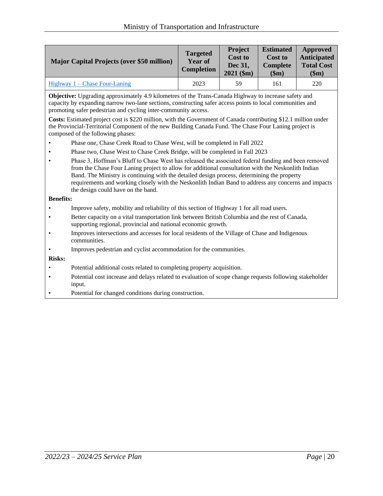| <b>Major Capital Projects (over \$50 million)</b> | <b>Targeted</b><br>Year of<br><b>Completion</b> | <b>Project</b><br><b>Cost to</b><br>Dec 31,<br>$2021$ (\$m) | <b>Estimated</b><br><b>Cost to</b><br><b>Complete</b><br>\$m) | Approved<br><b>Anticipated</b><br><b>Total Cost</b><br>\$m\$ |
|---------------------------------------------------|-------------------------------------------------|-------------------------------------------------------------|---------------------------------------------------------------|--------------------------------------------------------------|
| Highway $1$ – Chase Four-Laning                   | 2023                                            | 59                                                          | 161                                                           | 220                                                          |

**Objective:** Upgrading approximately 4.9 kilometres of the Trans-Canada Highway to increase safety and capacity by expanding narrow two-lane sections, constructing safer access points to local communities and promoting safer pedestrian and cycling inter-community access.

**Costs:** Estimated project cost is \$220 million, with the Government of Canada contributing \$12.1 million under the Provincial-Territorial Component of the new Building Canada Fund. The Chase Four Laning project is composed of the following phases:

- Phase one, Chase Creek Road to Chase West, will be completed in Fall 2022
- Phase two, Chase West to Chase Creek Bridge, will be completed in Fall 2023
- Phase 3, Hoffman's Bluff to Chase West has released the associated federal funding and been removed from the Chase Four Laning project to allow for additional consultation with the Neskonlith Indian Band. The Ministry is continuing with the detailed design process, determining the property requirements and working closely with the Neskonlith Indian Band to address any concerns and impacts the design could have on the band.

#### **Benefits:**

- Improve safety, mobility and reliability of this section of Highway 1 for all road users.
- Better capacity on a vital transportation link between British Columbia and the rest of Canada, supporting regional, provincial and national economic growth.
- Improves intersections and accesses for local residents of the Village of Chase and Indigenous communities.
- Improves pedestrian and cyclist accommodation for the communities.

- Potential additional costs related to completing property acquisition.
- Potential cost increase and delays related to evaluation of scope change requests following stakeholder input.
- Potential for changed conditions during construction.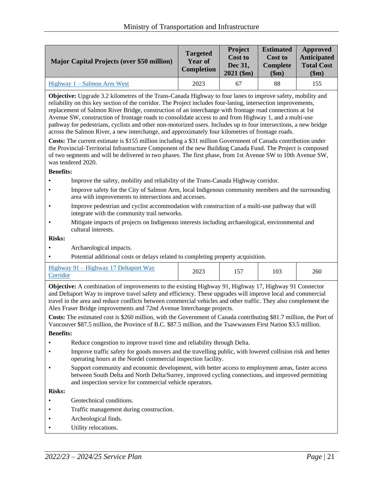| <b>Major Capital Projects (over \$50 million)</b> | <b>Targeted</b><br><b>Year of</b><br><b>Completion</b> | <b>Project</b><br><b>Cost to</b><br><b>Dec 31.</b><br>$2021$ (\$m) | <b>Estimated</b><br><b>Cost to</b><br><b>Complete</b><br>\$m) | Approved<br><b>Anticipated</b><br><b>Total Cost</b><br>\$m\$ |
|---------------------------------------------------|--------------------------------------------------------|--------------------------------------------------------------------|---------------------------------------------------------------|--------------------------------------------------------------|
| $Highway 1 - Salmon Arm West$                     | 2023                                                   | 67                                                                 | 88                                                            | 155                                                          |

**Objective:** Upgrade 3.2 kilometres of the Trans-Canada Highway to four lanes to improve safety, mobility and reliability on this key section of the corridor. The Project includes four-laning, intersection improvements, replacement of Salmon River Bridge, construction of an interchange with frontage road connections at 1st Avenue SW, construction of frontage roads to consolidate access to and from Highway 1, and a multi-use pathway for pedestrians, cyclists and other non-motorized users. Includes up to four intersections, a new bridge across the Salmon River, a new interchange, and approximately four kilometres of frontage roads.

**Costs:** The current estimate is \$155 million including a \$31 million Government of Canada contribution under the Provincial-Territorial Infrastructure Component of the new Building Canada Fund. The Project is composed of two segments and will be delivered in two phases. The first phase, from 1st Avenue SW to 10th Avenue SW, was tendered 2020.

#### **Benefits:**

- Improve the safety, mobility and reliability of the Trans-Canada Highway corridor.
- Improve safety for the City of Salmon Arm, local Indigenous community members and the surrounding area with improvements to intersections and accesses.
- Improve pedestrian and cyclist accommodation with construction of a multi-use pathway that will integrate with the community trail networks.
- Mitigate impacts of projects on Indigenous interests including archaeological, environmental and cultural interests.

#### **Risks:**

- Archaeological impacts.
- Potential additional costs or delays related to completing property acquisition.

| Highway 91 – Highway 17 Deltaport Way<br>2023<br>Corridor | $-$ | 103 | 260 |
|-----------------------------------------------------------|-----|-----|-----|
|-----------------------------------------------------------|-----|-----|-----|

**Objective:** A combination of improvements to the existing Highway 91, Highway 17, Highway 91 Connector and Deltaport Way to improve travel safety and efficiency. These upgrades will improve local and commercial travel in the area and reduce conflicts between commercial vehicles and other traffic. They also complement the Alex Fraser Bridge improvements and 72nd Avenue Interchange projects.

**Costs:** The estimated cost is \$260 million, with the Government of Canada contributing \$81.7 million, the Port of Vancouver \$87.5 million, the Province of B.C. \$87.5 million, and the Tsawwassen First Nation \$3.5 million.

**Benefits:**

- Reduce congestion to improve travel time and reliability through Delta.
- Improve traffic safety for goods movers and the travelling public, with lowered collision risk and better operating hours at the Nordel commercial inspection facility.
- Support community and economic development, with better access to employment areas, faster access between South Delta and North Delta/Surrey, improved cycling connections, and improved permitting and inspection service for commercial vehicle operators.

- Geotechnical conditions.
- Traffic management during construction.
- Archeological finds.
- Utility relocations.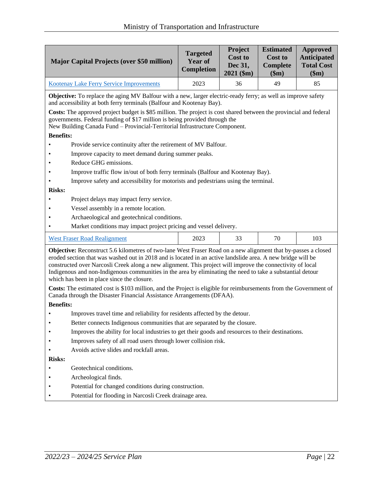| <b>Major Capital Projects (over \$50 million)</b>                                                                                                                                                                                                                                                                                                                                                                                                                                                                                                                                                                           | <b>Targeted</b><br>Year of<br>Completion | Project<br><b>Cost to</b><br>Dec 31,<br>$2021$ (\$m) | <b>Estimated</b><br><b>Cost to</b><br><b>Complete</b><br>\$m\$ | <b>Approved</b><br><b>Anticipated</b><br><b>Total Cost</b><br>\$m\$ |  |
|-----------------------------------------------------------------------------------------------------------------------------------------------------------------------------------------------------------------------------------------------------------------------------------------------------------------------------------------------------------------------------------------------------------------------------------------------------------------------------------------------------------------------------------------------------------------------------------------------------------------------------|------------------------------------------|------------------------------------------------------|----------------------------------------------------------------|---------------------------------------------------------------------|--|
| <b>Kootenay Lake Ferry Service Improvements</b>                                                                                                                                                                                                                                                                                                                                                                                                                                                                                                                                                                             | 2023                                     | 36                                                   | 49                                                             | 85                                                                  |  |
| Objective: To replace the aging MV Balfour with a new, larger electric-ready ferry; as well as improve safety<br>and accessibility at both ferry terminals (Balfour and Kootenay Bay).                                                                                                                                                                                                                                                                                                                                                                                                                                      |                                          |                                                      |                                                                |                                                                     |  |
| Costs: The approved project budget is \$85 million. The project is cost shared between the provincial and federal<br>governments. Federal funding of \$17 million is being provided through the<br>New Building Canada Fund - Provincial-Territorial Infrastructure Component.                                                                                                                                                                                                                                                                                                                                              |                                          |                                                      |                                                                |                                                                     |  |
| <b>Benefits:</b>                                                                                                                                                                                                                                                                                                                                                                                                                                                                                                                                                                                                            |                                          |                                                      |                                                                |                                                                     |  |
| Provide service continuity after the retirement of MV Balfour.                                                                                                                                                                                                                                                                                                                                                                                                                                                                                                                                                              |                                          |                                                      |                                                                |                                                                     |  |
| Improve capacity to meet demand during summer peaks.                                                                                                                                                                                                                                                                                                                                                                                                                                                                                                                                                                        |                                          |                                                      |                                                                |                                                                     |  |
| Reduce GHG emissions.                                                                                                                                                                                                                                                                                                                                                                                                                                                                                                                                                                                                       |                                          |                                                      |                                                                |                                                                     |  |
| Improve traffic flow in/out of both ferry terminals (Balfour and Kootenay Bay).                                                                                                                                                                                                                                                                                                                                                                                                                                                                                                                                             |                                          |                                                      |                                                                |                                                                     |  |
| Improve safety and accessibility for motorists and pedestrians using the terminal.                                                                                                                                                                                                                                                                                                                                                                                                                                                                                                                                          |                                          |                                                      |                                                                |                                                                     |  |
| <b>Risks:</b>                                                                                                                                                                                                                                                                                                                                                                                                                                                                                                                                                                                                               |                                          |                                                      |                                                                |                                                                     |  |
| Project delays may impact ferry service.                                                                                                                                                                                                                                                                                                                                                                                                                                                                                                                                                                                    |                                          |                                                      |                                                                |                                                                     |  |
| Vessel assembly in a remote location.                                                                                                                                                                                                                                                                                                                                                                                                                                                                                                                                                                                       |                                          |                                                      |                                                                |                                                                     |  |
| Archaeological and geotechnical conditions.                                                                                                                                                                                                                                                                                                                                                                                                                                                                                                                                                                                 |                                          |                                                      |                                                                |                                                                     |  |
| Market conditions may impact project pricing and vessel delivery.                                                                                                                                                                                                                                                                                                                                                                                                                                                                                                                                                           |                                          |                                                      |                                                                |                                                                     |  |
| <b>West Fraser Road Realignment</b>                                                                                                                                                                                                                                                                                                                                                                                                                                                                                                                                                                                         | 2023                                     | 33                                                   | 70                                                             | 103                                                                 |  |
| Objective: Reconstruct 5.6 kilometres of two-lane West Fraser Road on a new alignment that by-passes a closed<br>eroded section that was washed out in 2018 and is located in an active landslide area. A new bridge will be<br>constructed over Narcosli Creek along a new alignment. This project will improve the connectivity of local<br>Indigenous and non-Indigenous communities in the area by eliminating the need to take a substantial detour<br>which has been in place since the closure.<br>Costs: The estimated cost is \$103 million, and the Project is eligible for reimbursements from the Government of |                                          |                                                      |                                                                |                                                                     |  |
| Canada through the Disaster Financial Assistance Arrangements (DFAA).                                                                                                                                                                                                                                                                                                                                                                                                                                                                                                                                                       |                                          |                                                      |                                                                |                                                                     |  |
| <b>Benefits:</b>                                                                                                                                                                                                                                                                                                                                                                                                                                                                                                                                                                                                            |                                          |                                                      |                                                                |                                                                     |  |
| Improves travel time and reliability for residents affected by the detour.                                                                                                                                                                                                                                                                                                                                                                                                                                                                                                                                                  |                                          |                                                      |                                                                |                                                                     |  |
| Better connects Indigenous communities that are separated by the closure.                                                                                                                                                                                                                                                                                                                                                                                                                                                                                                                                                   |                                          |                                                      |                                                                |                                                                     |  |
| Improves the ability for local industries to get their goods and resources to their destinations.                                                                                                                                                                                                                                                                                                                                                                                                                                                                                                                           |                                          |                                                      |                                                                |                                                                     |  |
| Improves safety of all road users through lower collision risk.                                                                                                                                                                                                                                                                                                                                                                                                                                                                                                                                                             |                                          |                                                      |                                                                |                                                                     |  |
| <b>Risks:</b>                                                                                                                                                                                                                                                                                                                                                                                                                                                                                                                                                                                                               | Avoids active slides and rockfall areas. |                                                      |                                                                |                                                                     |  |
| Geotechnical conditions.                                                                                                                                                                                                                                                                                                                                                                                                                                                                                                                                                                                                    |                                          |                                                      |                                                                |                                                                     |  |
| Archeological finds.                                                                                                                                                                                                                                                                                                                                                                                                                                                                                                                                                                                                        |                                          |                                                      |                                                                |                                                                     |  |
| Potential for changed conditions during construction.                                                                                                                                                                                                                                                                                                                                                                                                                                                                                                                                                                       |                                          |                                                      |                                                                |                                                                     |  |
| Potential for flooding in Narcosli Creek drainage area.                                                                                                                                                                                                                                                                                                                                                                                                                                                                                                                                                                     |                                          |                                                      |                                                                |                                                                     |  |
|                                                                                                                                                                                                                                                                                                                                                                                                                                                                                                                                                                                                                             |                                          |                                                      |                                                                |                                                                     |  |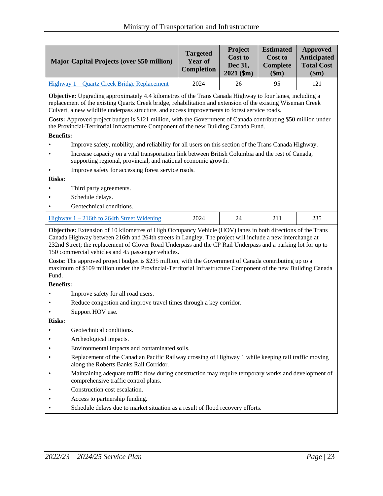|                                                                                                                                                                                                                                                                                                                                                                                                                                                                                                                                    | <b>Major Capital Projects (over \$50 million)</b>                                                    | <b>Targeted</b><br>Year of<br><b>Completion</b> | Project<br><b>Cost to</b><br>Dec 31,<br>$2021$ (\$m) | <b>Estimated</b><br>Cost to<br><b>Complete</b><br>\$m\$ | <b>Approved</b><br><b>Anticipated</b><br><b>Total Cost</b><br>\$m\$ |
|------------------------------------------------------------------------------------------------------------------------------------------------------------------------------------------------------------------------------------------------------------------------------------------------------------------------------------------------------------------------------------------------------------------------------------------------------------------------------------------------------------------------------------|------------------------------------------------------------------------------------------------------|-------------------------------------------------|------------------------------------------------------|---------------------------------------------------------|---------------------------------------------------------------------|
|                                                                                                                                                                                                                                                                                                                                                                                                                                                                                                                                    | Highway 1 - Quartz Creek Bridge Replacement                                                          | 2024                                            | 26                                                   | 95                                                      | 121                                                                 |
| Objective: Upgrading approximately 4.4 kilometres of the Trans Canada Highway to four lanes, including a<br>replacement of the existing Quartz Creek bridge, rehabilitation and extension of the existing Wiseman Creek<br>Culvert, a new wildlife underpass structure, and access improvements to forest service roads.<br>Costs: Approved project budget is \$121 million, with the Government of Canada contributing \$50 million under<br>the Provincial-Territorial Infrastructure Component of the new Building Canada Fund. |                                                                                                      |                                                 |                                                      |                                                         |                                                                     |
| <b>Benefits:</b>                                                                                                                                                                                                                                                                                                                                                                                                                                                                                                                   |                                                                                                      |                                                 |                                                      |                                                         |                                                                     |
|                                                                                                                                                                                                                                                                                                                                                                                                                                                                                                                                    | Improve safety, mobility, and reliability for all users on this section of the Trans Canada Highway. |                                                 |                                                      |                                                         |                                                                     |
| Increase capacity on a vital transportation link between British Columbia and the rest of Canada,<br>supporting regional, provincial, and national economic growth.                                                                                                                                                                                                                                                                                                                                                                |                                                                                                      |                                                 |                                                      |                                                         |                                                                     |
|                                                                                                                                                                                                                                                                                                                                                                                                                                                                                                                                    | Improve safety for accessing forest service roads.                                                   |                                                 |                                                      |                                                         |                                                                     |
| <b>Risks:</b>                                                                                                                                                                                                                                                                                                                                                                                                                                                                                                                      |                                                                                                      |                                                 |                                                      |                                                         |                                                                     |
|                                                                                                                                                                                                                                                                                                                                                                                                                                                                                                                                    | Third party agreements.                                                                              |                                                 |                                                      |                                                         |                                                                     |
| Schedule delays.                                                                                                                                                                                                                                                                                                                                                                                                                                                                                                                   |                                                                                                      |                                                 |                                                      |                                                         |                                                                     |
|                                                                                                                                                                                                                                                                                                                                                                                                                                                                                                                                    | Geotechnical conditions.                                                                             |                                                 |                                                      |                                                         |                                                                     |
| 2024<br>24<br>211<br>235<br>Highway $1 - 216$ th to 264th Street Widening                                                                                                                                                                                                                                                                                                                                                                                                                                                          |                                                                                                      |                                                 |                                                      |                                                         |                                                                     |
| <b>Objective:</b> Extension of 10 kilometres of High Occupancy Vehicle (HOV) lanes in both directions of the Trans<br>Canada Highway between 216th and 264th streets in Langley. The project will include a new interchange at<br>232nd Street; the replacement of Glover Road Underpass and the CP Rail Underpass and a parking lot for up to<br>150 commercial vehicles and 45 passenger vehicles.                                                                                                                               |                                                                                                      |                                                 |                                                      |                                                         |                                                                     |

**Costs:** The approved project budget is \$235 million, with the Government of Canada contributing up to a maximum of \$109 million under the Provincial-Territorial Infrastructure Component of the new Building Canada Fund.

#### **Benefits:**

- Improve safety for all road users.
- Reduce congestion and improve travel times through a key corridor.
- Support HOV use.

- Geotechnical conditions.
- Archeological impacts.
- Environmental impacts and contaminated soils.
- Replacement of the Canadian Pacific Railway crossing of Highway 1 while keeping rail traffic moving along the Roberts Banks Rail Corridor.
- Maintaining adequate traffic flow during construction may require temporary works and development of comprehensive traffic control plans.
- Construction cost escalation.
- Access to partnership funding.
- Schedule delays due to market situation as a result of flood recovery efforts.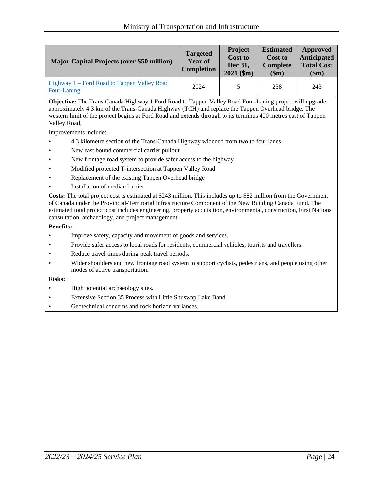| <b>Major Capital Projects (over \$50 million)</b>          | <b>Targeted</b><br>Year of<br><b>Completion</b> | <b>Project</b><br><b>Cost to</b><br>Dec 31,<br>$2021$ (\$m) | <b>Estimated</b><br>Cost to<br><b>Complete</b><br>\$m\$ | Approved<br><b>Anticipated</b><br><b>Total Cost</b><br>\$m\$ |
|------------------------------------------------------------|-------------------------------------------------|-------------------------------------------------------------|---------------------------------------------------------|--------------------------------------------------------------|
| Highway 1 – Ford Road to Tappen Valley Road<br>Four-Laning | 2024                                            |                                                             | 238                                                     | 243                                                          |

**Objective:** The Trans Canada Highway 1 Ford Road to Tappen Valley Road Four-Laning project will upgrade approximately 4.3 km of the Trans-Canada Highway (TCH) and replace the Tappen Overhead bridge. The western limit of the project begins at Ford Road and extends through to its terminus 400 metres east of Tappen Valley Road.

Improvements include:

- 4.3 kilometre section of the Trans-Canada Highway widened from two to four lanes
- New east bound commercial carrier pullout
- New frontage road system to provide safer access to the highway
- Modified protected T-intersection at Tappen Valley Road
- Replacement of the existing Tappen Overhead bridge
- Installation of median barrier

**Costs:** The total project cost is estimated at \$243 million. This includes up to \$82 million from the Government of Canada under the Provincial-Territorial Infrastructure Component of the New Building Canada Fund. The estimated total project cost includes engineering, property acquisition, environmental, construction, First Nations consultation, archaeology, and project management.

#### **Benefits:**

- Improve safety, capacity and movement of goods and services.
- Provide safer access to local roads for residents, commercial vehicles, tourists and travellers.
- Reduce travel times during peak travel periods.
- Wider shoulders and new frontage road system to support cyclists, pedestrians, and people using other modes of active transportation.

- High potential archaeology sites.
- Extensive Section 35 Process with Little Shuswap Lake Band.
- Geotechnical concerns and rock horizon variances.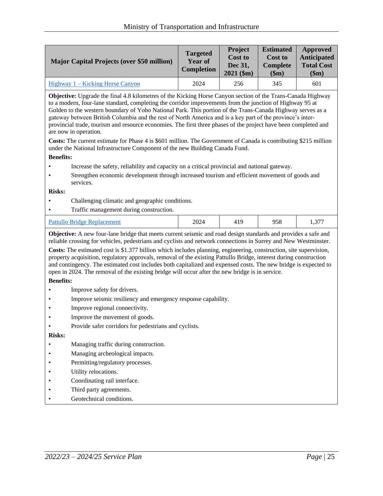| <b>Major Capital Projects (over \$50 million)</b> | <b>Targeted</b><br><b>Year of</b><br><b>Completion</b> | <b>Project</b><br><b>Cost to</b><br><b>Dec 31.</b><br>$2021$ (\$m) | <b>Estimated</b><br><b>Cost to</b><br>Complete<br>\$m) | Approved<br><b>Anticipated</b><br><b>Total Cost</b><br>\$m\$ |
|---------------------------------------------------|--------------------------------------------------------|--------------------------------------------------------------------|--------------------------------------------------------|--------------------------------------------------------------|
| Highway $1 -$ Kicking Horse Canyon                | 2024                                                   | 256                                                                | 345                                                    | 601                                                          |

**Objective:** Upgrade the final 4.8 kilometres of the Kicking Horse Canyon section of the Trans-Canada Highway to a modern, four-lane standard, completing the corridor improvements from the junction of Highway 95 at Golden to the western boundary of Yoho National Park. This portion of the Trans-Canada Highway serves as a gateway between British Columbia and the rest of North America and is a key part of the province's interprovincial trade, tourism and resource economies. The first three phases of the project have been completed and are now in operation.

**Costs:** The current estimate for Phase 4 is \$601 million. The Government of Canada is contributing \$215 million under the National Infrastructure Component of the new Building Canada Fund.

#### **Benefits:**

- Increase the safety, reliability and capacity on a critical provincial and national gateway.
- Strengthen economic development through increased tourism and efficient movement of goods and services.

#### **Risks:**

- Challenging climatic and geographic conditions.
- Traffic management during construction.

|--|

**Objective:** A new four-lane bridge that meets current seismic and road design standards and provides a safe and reliable crossing for vehicles, pedestrians and cyclists and network connections in Surrey and New Westminster.

**Costs:** The estimated cost is \$1.377 billion which includes planning, engineering, construction, site supervision, property acquisition, regulatory approvals, removal of the existing Pattullo Bridge, interest during construction and contingency. The estimated cost includes both capitalized and expensed costs. The new bridge is expected to open in 2024. The removal of the existing bridge will occur after the new bridge is in service.

#### **Benefits:**

- Improve safety for drivers.
- Improve seismic resiliency and emergency response capability.
- Improve regional connectivity.
- Improve the movement of goods.
- Provide safer corridors for pedestrians and cyclists.

- Managing traffic during construction.
- Managing archeological impacts.
- Permitting/regulatory processes.
- Utility relocations.
- Coordinating rail interface.
- Third party agreements.
- Geotechnical conditions.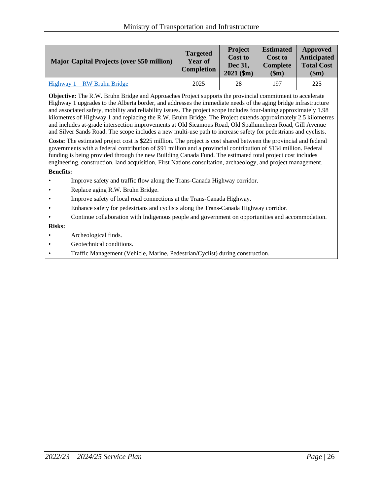| <b>Major Capital Projects (over \$50 million)</b> | <b>Targeted</b><br><b>Year of</b><br><b>Completion</b> | <b>Project</b><br><b>Cost to</b><br>Dec 31,<br>$2021$ (\$m) | <b>Estimated</b><br><b>Cost to</b><br><b>Complete</b><br>\$m) | Approved<br><b>Anticipated</b><br><b>Total Cost</b><br>\$m) |
|---------------------------------------------------|--------------------------------------------------------|-------------------------------------------------------------|---------------------------------------------------------------|-------------------------------------------------------------|
| $Highway 1 - RW$ Bruhn Bridge                     | 2025                                                   | 28                                                          | 197                                                           | 225                                                         |

**Objective:** The R.W. Bruhn Bridge and Approaches Project supports the provincial commitment to accelerate Highway 1 upgrades to the Alberta border, and addresses the immediate needs of the aging bridge infrastructure and associated safety, mobility and reliability issues. The project scope includes four-laning approximately 1.98 kilometres of Highway 1 and replacing the R.W. Bruhn Bridge. The Project extends approximately 2.5 kilometres and includes at-grade intersection improvements at Old Sicamous Road, Old Spallumcheen Road, Gill Avenue and Silver Sands Road. The scope includes a new multi-use path to increase safety for pedestrians and cyclists.

**Costs:** The estimated project cost is \$225 million. The project is cost shared between the provincial and federal governments with a federal contribution of \$91 million and a provincial contribution of \$134 million. Federal funding is being provided through the new Building Canada Fund. The estimated total project cost includes engineering, construction, land acquisition, First Nations consultation, archaeology, and project management.

#### **Benefits:**

- Improve safety and traffic flow along the Trans-Canada Highway corridor.
- Replace aging R.W. Bruhn Bridge.
- Improve safety of local road connections at the Trans-Canada Highway.
- Enhance safety for pedestrians and cyclists along the Trans-Canada Highway corridor.
- Continue collaboration with Indigenous people and government on opportunities and accommodation.

- Archeological finds.
- Geotechnical conditions.
- Traffic Management (Vehicle, Marine, Pedestrian/Cyclist) during construction.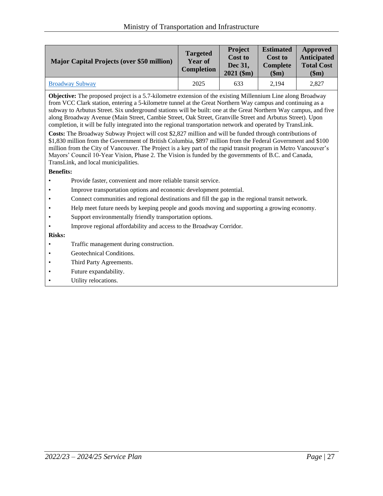| <b>Major Capital Projects (over \$50 million)</b> | <b>Targeted</b><br><b>Year of</b><br><b>Completion</b> | <b>Project</b><br><b>Cost to</b><br>Dec 31.<br>$2021$ (\$m) | <b>Estimated</b><br><b>Cost to</b><br>Complete<br>\$m) | Approved<br><b>Anticipated</b><br><b>Total Cost</b><br>\$m\$ |
|---------------------------------------------------|--------------------------------------------------------|-------------------------------------------------------------|--------------------------------------------------------|--------------------------------------------------------------|
| <b>Broadway Subway</b>                            | 2025                                                   | 633                                                         | 2.194                                                  | 2,827                                                        |

**Objective:** The proposed project is a 5.7-kilometre extension of the existing Millennium Line along Broadway from VCC Clark station, entering a 5-kilometre tunnel at the Great Northern Way campus and continuing as a subway to Arbutus Street. Six underground stations will be built: one at the Great Northern Way campus, and five along Broadway Avenue (Main Street, Cambie Street, Oak Street, Granville Street and Arbutus Street). Upon completion, it will be fully integrated into the regional transportation network and operated by TransLink.

**Costs:** The Broadway Subway Project will cost \$2,827 million and will be funded through contributions of \$1,830 million from the Government of British Columbia, \$897 million from the Federal Government and \$100 million from the City of Vancouver. The Project is a key part of the rapid transit program in Metro Vancouver's Mayors' Council 10-Year Vision, Phase 2. The Vision is funded by the governments of B.C. and Canada, TransLink, and local municipalities.

#### **Benefits:**

- Provide faster, convenient and more reliable transit service.
- Improve transportation options and economic development potential.
- Connect communities and regional destinations and fill the gap in the regional transit network.
- Help meet future needs by keeping people and goods moving and supporting a growing economy.
- Support environmentally friendly transportation options.
- Improve regional affordability and access to the Broadway Corridor.

- Traffic management during construction.
- Geotechnical Conditions.
- Third Party Agreements.
- Future expandability.
- Utility relocations.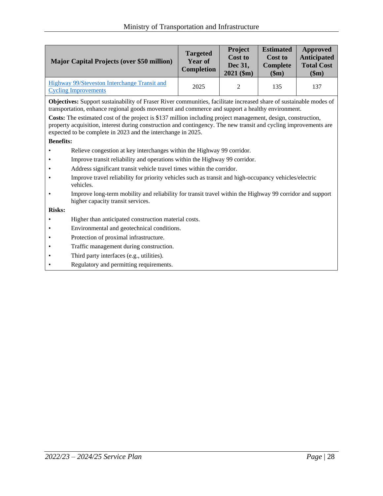| <b>Major Capital Projects (over \$50 million)</b>                           | <b>Targeted</b><br>Year of<br><b>Completion</b> | <b>Project</b><br><b>Cost to</b><br>Dec 31,<br>$2021$ (\$m) | <b>Estimated</b><br><b>Cost to</b><br>Complete<br>\$m) | Approved<br><b>Anticipated</b><br><b>Total Cost</b><br>\$m\$ |
|-----------------------------------------------------------------------------|-------------------------------------------------|-------------------------------------------------------------|--------------------------------------------------------|--------------------------------------------------------------|
| Highway 99/Steveston Interchange Transit and<br><b>Cycling Improvements</b> | 2025                                            | $\gamma$                                                    | 135                                                    | 137                                                          |

**Objectives:** Support sustainability of Fraser River communities, facilitate increased share of sustainable modes of transportation, enhance regional goods movement and commerce and support a healthy environment.

**Costs:** The estimated cost of the project is \$137 million including project management, design, construction, property acquisition, interest during construction and contingency. The new transit and cycling improvements are expected to be complete in 2023 and the interchange in 2025.

#### **Benefits:**

- Relieve congestion at key interchanges within the Highway 99 corridor.
- Improve transit reliability and operations within the Highway 99 corridor.
- Address significant transit vehicle travel times within the corridor.
- Improve travel reliability for priority vehicles such as transit and high-occupancy vehicles/electric vehicles.
- Improve long-term mobility and reliability for transit travel within the Highway 99 corridor and support higher capacity transit services.

- Higher than anticipated construction material costs.
- Environmental and geotechnical conditions.
- Protection of proximal infrastructure.
- Traffic management during construction.
- Third party interfaces (e.g., utilities).
- Regulatory and permitting requirements.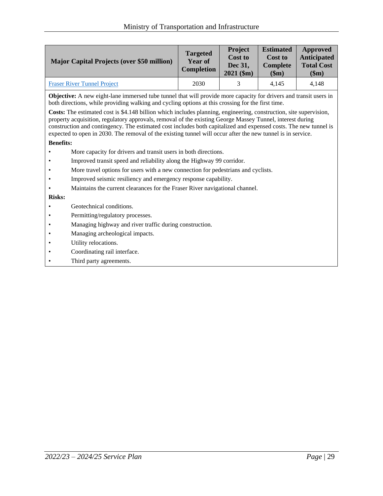| <b>Major Capital Projects (over \$50 million)</b> | <b>Targeted</b><br><b>Year of</b><br><b>Completion</b> | <b>Project</b><br><b>Cost to</b><br>Dec 31,<br>$2021$ (\$m) | <b>Estimated</b><br><b>Cost to</b><br><b>Complete</b><br>\$m) | Approved<br><b>Anticipated</b><br><b>Total Cost</b><br>\$m\$ |
|---------------------------------------------------|--------------------------------------------------------|-------------------------------------------------------------|---------------------------------------------------------------|--------------------------------------------------------------|
| <b>Fraser River Tunnel Project</b>                | 2030                                                   |                                                             | 4.145                                                         | 4.148                                                        |

**Objective:** A new eight-lane immersed tube tunnel that will provide more capacity for drivers and transit users in both directions, while providing walking and cycling options at this crossing for the first time.

**Costs:** The estimated cost is \$4.148 billion which includes planning, engineering, construction, site supervision, property acquisition, regulatory approvals, removal of the existing George Massey Tunnel, interest during construction and contingency. The estimated cost includes both capitalized and expensed costs. The new tunnel is expected to open in 2030. The removal of the existing tunnel will occur after the new tunnel is in service.

#### **Benefits:**

- More capacity for drivers and transit users in both directions.
- Improved transit speed and reliability along the Highway 99 corridor.
- More travel options for users with a new connection for pedestrians and cyclists.
- Improved seismic resiliency and emergency response capability.
- Maintains the current clearances for the Fraser River navigational channel.

- Geotechnical conditions.
- Permitting/regulatory processes.
- Managing highway and river traffic during construction.
- Managing archeological impacts.
- Utility relocations.
- Coordinating rail interface.
- Third party agreements.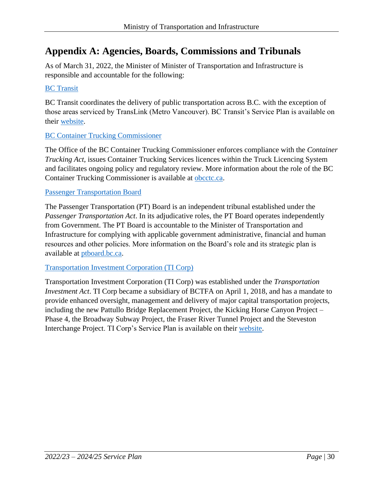# <span id="page-29-0"></span>**Appendix A: Agencies, Boards, Commissions and Tribunals**

As of March 31, 2022, the Minister of Minister of Transportation and Infrastructure is responsible and accountable for the following:

## [BC Transit](https://www.bctransit.com/choose-transit-system)

BC Transit coordinates the delivery of public transportation across B.C. with the exception of those areas serviced by TransLink (Metro Vancouver). BC Transit's Service Plan is available on their [website.](https://www.bctransit.com/corporate-reports/service-plans)

# [BC Container Trucking Commissioner](https://obcctc.ca/)

The Office of the BC Container Trucking Commissioner enforces compliance with the *Container Trucking Act*, issues Container Trucking Services licences within the Truck Licencing System and facilitates ongoing policy and regulatory review. More information about the role of the BC Container Trucking Commissioner is available at [obcctc.ca.](https://obcctc.ca/)

### [Passenger Transportation Board](https://www.ptboard.bc.ca/)

The Passenger Transportation (PT) Board is an independent tribunal established under the *Passenger Transportation Act*. In its adjudicative roles, the PT Board operates independently from Government. The PT Board is accountable to the Minister of Transportation and Infrastructure for complying with applicable government administrative, financial and human resources and other policies. More information on the Board's role and its strategic plan is available at [ptboard.bc.ca.](https://www.ptboard.bc.ca/)

### [Transportation Investment Corporation \(TI Corp\)](https://www2.gov.bc.ca/gov/content/governments/organizational-structure/ministries-organizations/crown-corporations/transportation-investment-corporation)

Transportation Investment Corporation (TI Corp) was established under the *Transportation Investment Act*. TI Corp became a subsidiary of BCTFA on April 1, 2018, and has a mandate to provide enhanced oversight, management and delivery of major capital transportation projects, including the new Pattullo Bridge Replacement Project, the Kicking Horse Canyon Project – Phase 4, the Broadway Subway Project, the Fraser River Tunnel Project and the Steveston Interchange Project. TI Corp's Service Plan is available on their [website.](https://www.ticorp.ca/about-us/service-plans/)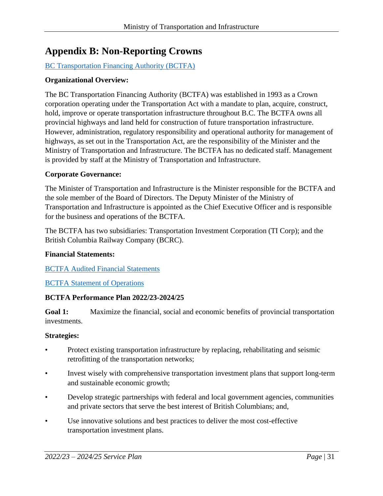# <span id="page-30-0"></span>**Appendix B: Non-Reporting Crowns**

# [BC Transportation Financing Authority \(BCTFA\)](https://www2.gov.bc.ca/gov/content/transportation/transportation-reports-and-reference/ministry-reporting/bctfa)

## **Organizational Overview:**

The BC Transportation Financing Authority (BCTFA) was established in 1993 as a Crown corporation operating under the Transportation Act with a mandate to plan, acquire, construct, hold, improve or operate transportation infrastructure throughout B.C. The BCTFA owns all provincial highways and land held for construction of future transportation infrastructure. However, administration, regulatory responsibility and operational authority for management of highways, as set out in the Transportation Act, are the responsibility of the Minister and the Ministry of Transportation and Infrastructure. The BCTFA has no dedicated staff. Management is provided by staff at the Ministry of Transportation and Infrastructure.

### **Corporate Governance:**

The Minister of Transportation and Infrastructure is the Minister responsible for the BCTFA and the sole member of the Board of Directors. The Deputy Minister of the Ministry of Transportation and Infrastructure is appointed as the Chief Executive Officer and is responsible for the business and operations of the BCTFA.

The BCTFA has two subsidiaries: Transportation Investment Corporation (TI Corp); and the British Columbia Railway Company (BCRC).

### **Financial Statements:**

### [BCTFA Audited Financial Statements](https://www2.gov.bc.ca/gov/content/transportation/transportation-reports-and-reference/ministry-reporting/bctfa)

### [BCTFA Statement of Operations](https://www2.gov.bc.ca/assets/gov/driving-and-transportation/reports-and-reference/reports-and-studies/planning-strategy-economy/transportation-reporting/bctfa/2019-bctfa-statement-operations.pdf)

### **BCTFA Performance Plan 2022/23-2024/25**

**Goal 1:** Maximize the financial, social and economic benefits of provincial transportation investments.

### **Strategies:**

- Protect existing transportation infrastructure by replacing, rehabilitating and seismic retrofitting of the transportation networks;
- Invest wisely with comprehensive transportation investment plans that support long-term and sustainable economic growth;
- Develop strategic partnerships with federal and local government agencies, communities and private sectors that serve the best interest of British Columbians; and,
- Use innovative solutions and best practices to deliver the most cost-effective transportation investment plans.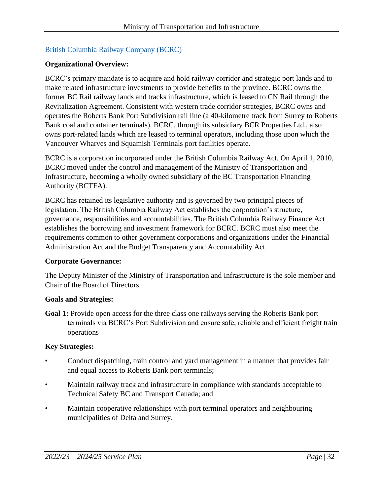## [British Columbia Railway Company](http://www.bcrco.com/) (BCRC)

### **Organizational Overview:**

BCRC's primary mandate is to acquire and hold railway corridor and strategic port lands and to make related infrastructure investments to provide benefits to the province. BCRC owns the former BC Rail railway lands and tracks infrastructure, which is leased to CN Rail through the Revitalization Agreement. Consistent with western trade corridor strategies, BCRC owns and operates the Roberts Bank Port Subdivision rail line (a 40-kilometre track from Surrey to Roberts Bank coal and container terminals). BCRC, through its subsidiary BCR Properties Ltd., also owns port-related lands which are leased to terminal operators, including those upon which the Vancouver Wharves and Squamish Terminals port facilities operate.

BCRC is a corporation incorporated under the British Columbia Railway Act. On April 1, 2010, BCRC moved under the control and management of the Ministry of Transportation and Infrastructure, becoming a wholly owned subsidiary of the BC Transportation Financing Authority (BCTFA).

BCRC has retained its legislative authority and is governed by two principal pieces of legislation. The British Columbia Railway Act establishes the corporation's structure, governance, responsibilities and accountabilities. The British Columbia Railway Finance Act establishes the borrowing and investment framework for BCRC. BCRC must also meet the requirements common to other government corporations and organizations under the Financial Administration Act and the Budget Transparency and Accountability Act.

#### **Corporate Governance:**

The Deputy Minister of the Ministry of Transportation and Infrastructure is the sole member and Chair of the Board of Directors.

#### **Goals and Strategies:**

**Goal 1:** Provide open access for the three class one railways serving the Roberts Bank port terminals via BCRC's Port Subdivision and ensure safe, reliable and efficient freight train operations

### **Key Strategies:**

- Conduct dispatching, train control and yard management in a manner that provides fair and equal access to Roberts Bank port terminals;
- Maintain railway track and infrastructure in compliance with standards acceptable to Technical Safety BC and Transport Canada; and
- Maintain cooperative relationships with port terminal operators and neighbouring municipalities of Delta and Surrey.